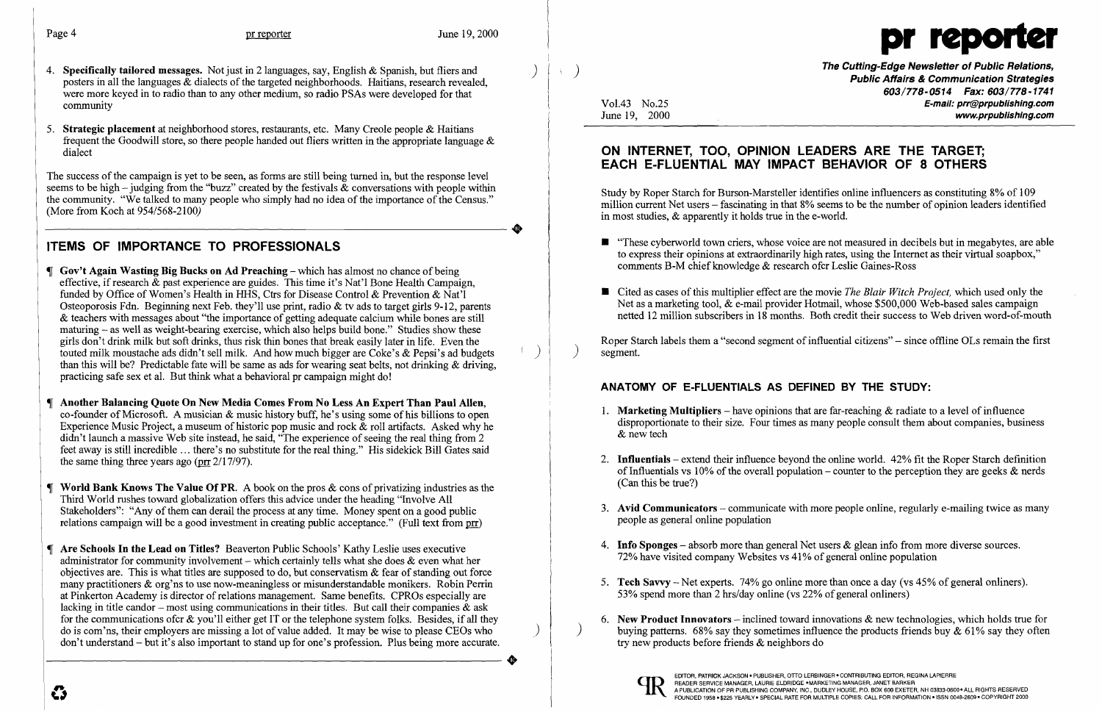

The Cutting-Edge Newsletter of Public Relations,<br>Public Affairs & Communication Strategies *603/778-0514 Fax: 603/778-1741*  Vol.43 No.25 **E-mail: prr@prpublishing.com**<br>June 19. 2000 www.prpublishing.com

- 4. Specifically tailored messages. Not just in 2 languages, say, English & Spanish, but fliers and posters in all the languages  $\&$  dialects of the targeted neighborhoods. Haitians, research revealed, were more keyed in to radio than to any other medium, so radio PSAs were developed for that community
- 5. Strategic placement at neighborhood stores, restaurants, etc. Many Creole people & Haitians frequent the Goodwill store, so there people handed out fliers written in the appropriate language  $\&$ dialect

The success of the campaign is yet to be seen, as forms are still being turned in, but the response level seems to be high – judging from the "buzz" created by the festivals  $\&$  conversations with people within the community. "We talked to many people who simply had no idea of the importance ofthe Census." -----------------------+ (More from Koch at 954/568-2100)

## ITEMS OF IMPORTANCE TO PROFESSIONALS

- $\Box$  Gov't Again Wasting Big Bucks on Ad Preaching which has almost no chance of being effective, if research & past experience are guides. This time it's Nat'l Bone Health Campaign, funded by Office of Women's Health in HHS, Ctrs for Disease Control & Prevention & Nat'l Osteoporosis Fdn. Beginning next Feb. they'll use print, radio & tv ads to target girls 9-12, parents & teachers with messages about "the importance of getting adequate calcium while bones are still maturing – as well as weight-bearing exercise, which also helps build bone." Studies show these girls don't drink milk but soft drinks, thus risk thin bones that break easily later in life. Even the touted milk moustache ads didn't sell milk. And how much bigger are Coke's & Pepsi's ad budgets than this will be? Predictable fate will be same as ads for wearing seat belts, not drinking & driving, practicing safe sex et al. But think what a behavioral pr campaign might do!
- **I** Another Balancing Quote On New Media Comes From No Less An Expert Than Paul Allen, co-founder of Microsoft. A musician  $\&$  music history buff, he's using some of his billions to open Experience Music Project, a museum of historic pop music and rock  $\&$  roll artifacts. Asked why he didn't launch a massive Web site instead, he said, "The experience of seeing the real thing from 2 feet away is still incredible ... there's no substitute for the real thing." His sidekick Bill Gates said the same thing three years ago ( $\pi$  2/17/97).
- $\P$  World Bank Knows The Value Of PR. A book on the pros  $\&$  cons of privatizing industries as the Third World rushes toward globalization offers this advice under the heading "Involve All Stakeholders": "Any of them can derail the process at any time. Money spent on a good public relations campaign will be a good investment in creating public acceptance." (Full text from prr)
- **T** Are Schools In the Lead on Titles? Beaverton Public Schools' Kathy Leslie uses executive administrator for community involvement – which certainly tells what she does  $\&$  even what her objectives are. This is what titles are supposed to do, but conservatism  $\&$  fear of standing out force many practitioners & org'ns to use now-meaningless or misunderstandable monikers. Robin Perrin at Pinkerton Academy is director ofrelations management. Same benefits. CPROs especially are lacking in title candor – most using communications in their titles. But call their companies  $\&$  ask for the communications of cr  $\&$  you'll either get IT or the telephone system folks. Besides, if all they do is com'ns, their employers are missing a lot of value added. It may be wise to please CEOs who don't understand - but it's also important to stand up for one's profession. Plus being more accurate. do is com'ns, their employers are missing a lot of value added. It may be wise to please CEOs who don't understand – but it's also important to stand up for one's profession. Plus being more accurate.

 $\blacksquare$  "These cyberworld town criers, whose voice are not measured in decibels but in megabytes, are able to express their opinions at extraordinarily high rates, using the Internet as their virtual soapbox,"

■ Cited as cases of this multiplier effect are the movie *The Blair Witch Project*, which used only the Net as a marketing tool, & e-mail provider Hotmail, whose \$500,000 Web-based sales campaign netted 12 million subscribers in 18 months. Both credit their success to Web driven word-of-mouth

Roper Starch labels them a "second segment of influential citizens" – since offline OLs remain the first ) segment.

- 1. **Marketing Multipliers** have opinions that are far-reaching  $\&$  radiate to a level of influence & new tech
- (Can this be true?)
- people as general online population
- 4. **Info Sponges** absorb more than general Net users  $\&$  glean info from more diverse sources. 72% have visited company Websites vs 41% of general online population
- 5. **Tech Savvy** Net experts. 74% go online more than once a day (vs 45% of general onliners). 53% spend more than 2 hrs/day online (vs  $22\%$  of general onliners)
- try new products before friends & neighbors do



## ON INTERNET, TOO, OPINION LEADERS ARE THE TARGET; EACH E-FLUENTIAL MAY IMPACT BEHAVIOR OF 8 OTHERS

Study by Roper Starch for Burson-Marsteller identifies online influencers as constituting 8% of 109 million current Net users - fascinating in that 8% seems to be the number of opinion leaders identified in most studies, & apparently it holds true in the e-world.

- comments B-M chief knowledge & research ofcr Leslie Gaines-Ross
- 

## ANATOMY OF E-FLUENTIALS AS DEFINED BY THE STUDY:

disproportionate to their size. Four times as many people consult them about companies, business

2. **Influentials** – extend their influence beyond the online world. 42% fit the Roper Starch definition of Influentials vs 10% of the overall population – counter to the perception they are geeks  $\&$  nerds

3. Avid Communicators – communicate with more people online, regularly e-mailing twice as many

6. New Product Innovators – inclined toward innovations  $\&$  new technologies, which holds true for buying patterns. 68% say they sometimes influence the products friends buy  $\&$  61% say they often